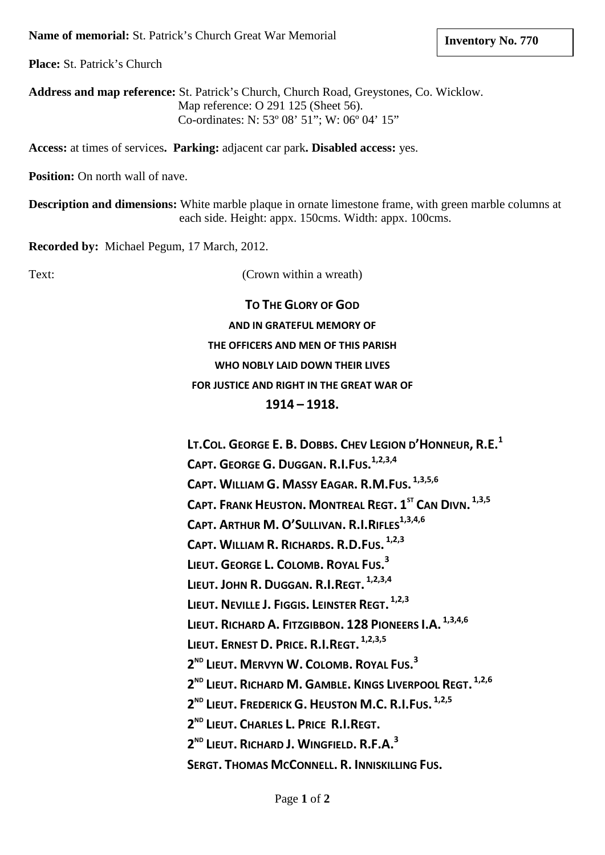**Place:** St. Patrick's Church

**Address and map reference:** St. Patrick's Church, Church Road, Greystones, Co. Wicklow. Map reference: O 291 125 (Sheet 56). Co-ordinates: N: 53º 08' 51"; W: 06º 04' 15"

**Access:** at times of services**. Parking:** adjacent car park**. Disabled access:** yes.

**Position:** On north wall of nave.

**Description and dimensions:** White marble plaque in ornate limestone frame, with green marble columns at each side. Height: appx. 150cms. Width: appx. 100cms.

**Recorded by:** Michael Pegum, 17 March, 2012.

Text: (Crown within a wreath)

**TO THE GLORY OF GOD AND IN GRATEFUL MEMORY OF THE OFFICERS AND MEN OF THIS PARISH WHO NOBLY LAID DOWN THEIR LIVES FOR JUSTICE AND RIGHT IN THE GREAT WAR OF 1914 – 1918.**

**LT.COL. GEORGE E. B. DOBBS. CHEV LEGION D'HONNEUR, R.E.1 CAPT. GEORGE G. DUGGAN. R.I.FUS. 1,2,3,4 CAPT. WILLIAM G. MASSY EAGAR. R.M.FUS. 1,3,5,6 CAPT. FRANK HEUSTON. MONTREAL REGT. 1ST CAN DIVN. 1,3,5 CAPT. ARTHUR M. O'SULLIVAN. R.I.RIFLES**<sup>1,3,4,6</sup> **CAPT. WILLIAM R. RICHARDS. R.D.FUS. 1,2,3 LIEUT. GEORGE L. COLOMB. ROYAL FUS. 3 LIEUT. JOHN R. DUGGAN. R.I.REGT. 1,2,3,4 LIEUT. NEVILLE J. FIGGIS. LEINSTER REGT. 1,2,3 LIEUT. RICHARD A. FITZGIBBON. 128 PIONEERS I.A. 1,3,4,6 LIEUT. ERNEST D. PRICE. R.I.REGT. 1,2,3,5 2ND LIEUT. MERVYN W. COLOMB. ROYAL FUS. 3 2ND LIEUT. RICHARD M. GAMBLE. KINGS LIVERPOOL REGT. 1,2,6 2ND LIEUT. FREDERICK G. HEUSTON M.C. R.I.FUS. 1,2,5 2ND LIEUT. CHARLES L. PRICE R.I.REGT. 2ND LIEUT. RICHARD J. WINGFIELD. R.F.A. 3 SERGT. THOMAS MCCONNELL. R. INNISKILLING FUS.**